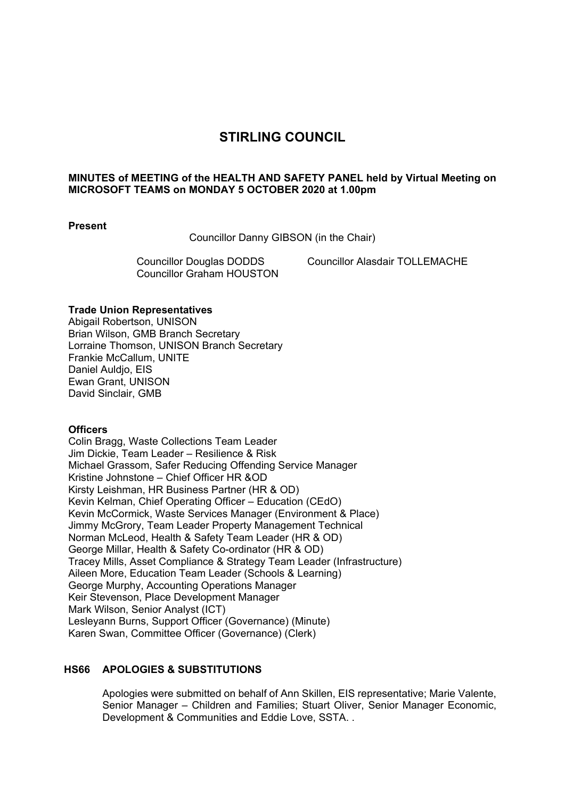# **STIRLING COUNCIL**

### **MINUTES of MEETING of the HEALTH AND SAFETY PANEL held by Virtual Meeting on MICROSOFT TEAMS on MONDAY 5 OCTOBER 2020 at 1.00pm**

### **Present**

Councillor Danny GIBSON (in the Chair)

Councillor Graham HOUSTON

Councillor Douglas DODDS Councillor Alasdair TOLLEMACHE

### **Trade Union Representatives**

Abigail Robertson, UNISON Brian Wilson, GMB Branch Secretary Lorraine Thomson, UNISON Branch Secretary Frankie McCallum, UNITE Daniel Auldio, EIS Ewan Grant, UNISON David Sinclair, GMB

### **Officers**

Colin Bragg, Waste Collections Team Leader Jim Dickie, Team Leader – Resilience & Risk Michael Grassom, Safer Reducing Offending Service Manager Kristine Johnstone – Chief Officer HR &OD Kirsty Leishman, HR Business Partner (HR & OD) Kevin Kelman, Chief Operating Officer – Education (CEdO) Kevin McCormick, Waste Services Manager (Environment & Place) Jimmy McGrory, Team Leader Property Management Technical Norman McLeod, Health & Safety Team Leader (HR & OD) George Millar, Health & Safety Co-ordinator (HR & OD) Tracey Mills, Asset Compliance & Strategy Team Leader (Infrastructure) Aileen More, Education Team Leader (Schools & Learning) George Murphy, Accounting Operations Manager Keir Stevenson, Place Development Manager Mark Wilson, Senior Analyst (ICT) Lesleyann Burns, Support Officer (Governance) (Minute) Karen Swan, Committee Officer (Governance) (Clerk)

## **HS66 APOLOGIES & SUBSTITUTIONS**

Apologies were submitted on behalf of Ann Skillen, EIS representative; Marie Valente, Senior Manager – Children and Families; Stuart Oliver, Senior Manager Economic, Development & Communities and Eddie Love, SSTA. .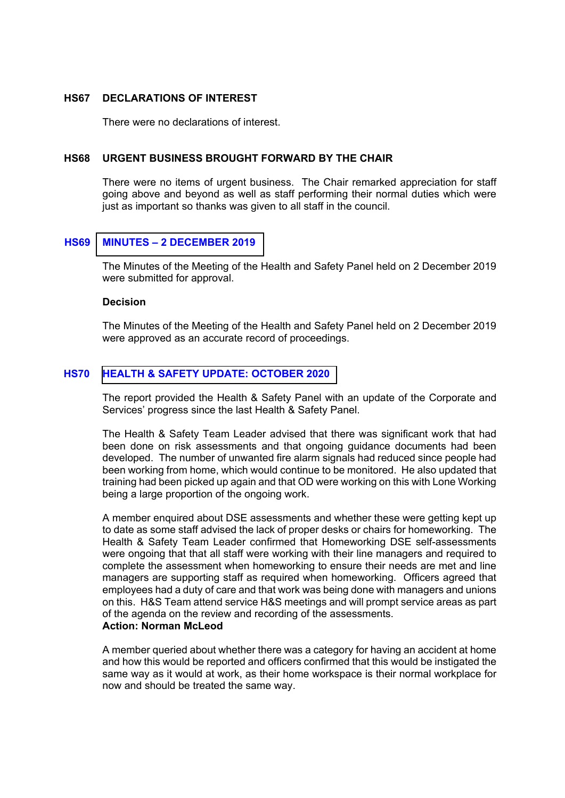### **HS67 DECLARATIONS OF INTEREST**

There were no declarations of interest.

#### **HS68 URGENT BUSINESS BROUGHT FORWARD BY THE CHAIR**

There were no items of urgent business. The Chair remarked appreciation for staff going above and beyond as well as staff performing their normal duties which were just as important so thanks was given to all staff in the council.

### **HS69 MINUTES – 2 DECEMBER 2019**

The Minutes of the Meeting of the Health and Safety Panel held on 2 December 2019 were submitted for approval.

#### **Decision**

The Minutes of the Meeting of the Health and Safety Panel held on 2 December 2019 were approved as an accurate record of proceedings.

## **HS70 HEALTH & SAFETY UPDATE: OCTOBER 2020**

The report provided the Health & Safety Panel with an update of the Corporate and Services' progress since the last Health & Safety Panel.

The Health & Safety Team Leader advised that there was significant work that had been done on risk assessments and that ongoing guidance documents had been developed. The number of unwanted fire alarm signals had reduced since people had been working from home, which would continue to be monitored. He also updated that training had been picked up again and that OD were working on this with Lone Working being a large proportion of the ongoing work.

A member enquired about DSE assessments and whether these were getting kept up to date as some staff advised the lack of proper desks or chairs for homeworking. The Health & Safety Team Leader confirmed that Homeworking DSE self-assessments were ongoing that that all staff were working with their line managers and required to complete the assessment when homeworking to ensure their needs are met and line managers are supporting staff as required when homeworking. Officers agreed that employees had a duty of care and that work was being done with managers and unions on this. H&S Team attend service H&S meetings and will prompt service areas as part of the agenda on the review and recording of the assessments.

## **Action: Norman McLeod**

A member queried about whether there was a category for having an accident at home and how this would be reported and officers confirmed that this would be instigated the same way as it would at work, as their home workspace is their normal workplace for now and should be treated the same way.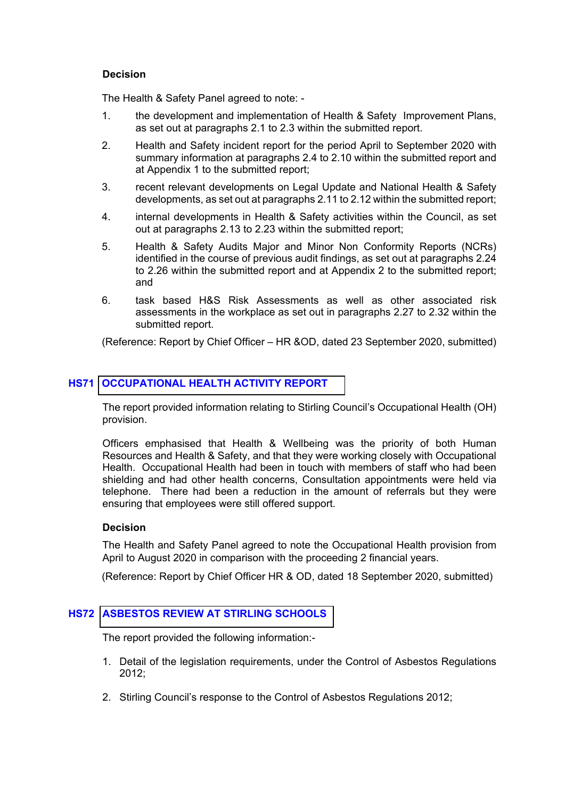### **Decision**

The Health & Safety Panel agreed to note: -

- 1. the development and implementation of Health & Safety Improvement Plans, as set out at paragraphs 2.1 to 2.3 within the submitted report.
- 2. Health and Safety incident report for the period April to September 2020 with summary information at paragraphs 2.4 to 2.10 within the submitted report and at Appendix 1 to the submitted report;
- 3. recent relevant developments on Legal Update and National Health & Safety developments, as set out at paragraphs 2.11 to 2.12 within the submitted report;
- 4. internal developments in Health & Safety activities within the Council, as set out at paragraphs 2.13 to 2.23 within the submitted report;
- 5. Health & Safety Audits Major and Minor Non Conformity Reports (NCRs) identified in the course of previous audit findings, as set out at paragraphs 2.24 to 2.26 within the submitted report and at Appendix 2 to the submitted report; and
- 6. task based H&S Risk Assessments as well as other associated risk assessments in the workplace as set out in paragraphs 2.27 to 2.32 within the submitted report.

(Reference: Report by Chief Officer – HR &OD, dated 23 September 2020, submitted)

## **HS71 OCCUPATIONAL HEALTH ACTIVITY REPORT**

The report provided information relating to Stirling Council's Occupational Health (OH) provision.

Officers emphasised that Health & Wellbeing was the priority of both Human Resources and Health & Safety, and that they were working closely with Occupational Health. Occupational Health had been in touch with members of staff who had been shielding and had other health concerns, Consultation appointments were held via telephone. There had been a reduction in the amount of referrals but they were ensuring that employees were still offered support.

## **Decision**

The Health and Safety Panel agreed to note the Occupational Health provision from April to August 2020 in comparison with the proceeding 2 financial years.

(Reference: Report by Chief Officer HR & OD, dated 18 September 2020, submitted)

## **HS72 ASBESTOS REVIEW AT STIRLING SCHOOLS**

The report provided the following information:-

- 1. Detail of the legislation requirements, under the Control of Asbestos Regulations 2012;
- 2. Stirling Council's response to the Control of Asbestos Regulations 2012;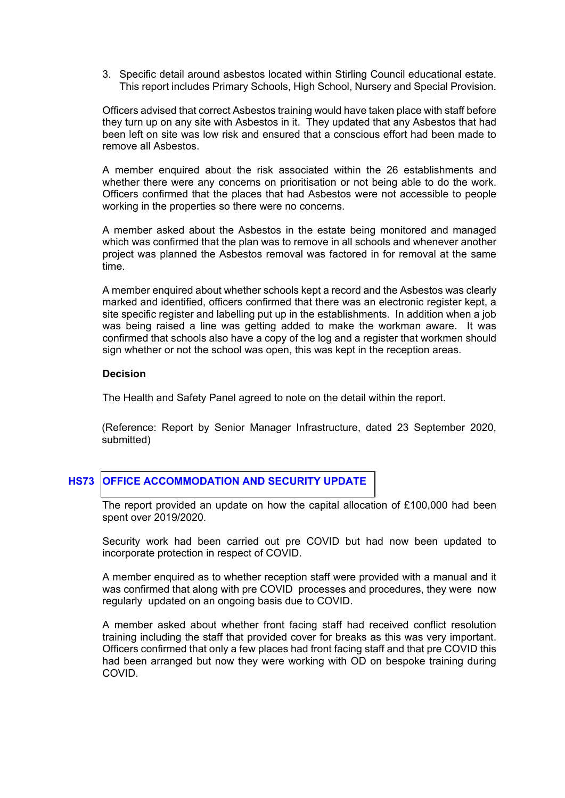3. Specific detail around asbestos located within Stirling Council educational estate. This report includes Primary Schools, High School, Nursery and Special Provision.

Officers advised that correct Asbestos training would have taken place with staff before they turn up on any site with Asbestos in it. They updated that any Asbestos that had been left on site was low risk and ensured that a conscious effort had been made to remove all Asbestos.

A member enquired about the risk associated within the 26 establishments and whether there were any concerns on prioritisation or not being able to do the work. Officers confirmed that the places that had Asbestos were not accessible to people working in the properties so there were no concerns.

A member asked about the Asbestos in the estate being monitored and managed which was confirmed that the plan was to remove in all schools and whenever another project was planned the Asbestos removal was factored in for removal at the same time.

A member enquired about whether schools kept a record and the Asbestos was clearly marked and identified, officers confirmed that there was an electronic register kept, a site specific register and labelling put up in the establishments. In addition when a job was being raised a line was getting added to make the workman aware. It was confirmed that schools also have a copy of the log and a register that workmen should sign whether or not the school was open, this was kept in the reception areas.

### **Decision**

The Health and Safety Panel agreed to note on the detail within the report.

(Reference: Report by Senior Manager Infrastructure, dated 23 September 2020, submitted)

## **HS73 OFFICE ACCOMMODATION AND SECURITY UPDATE**

The report provided an update on how the capital allocation of £100,000 had been spent over 2019/2020.

Security work had been carried out pre COVID but had now been updated to incorporate protection in respect of COVID.

A member enquired as to whether reception staff were provided with a manual and it was confirmed that along with pre COVID processes and procedures, they were now regularly updated on an ongoing basis due to COVID.

A member asked about whether front facing staff had received conflict resolution training including the staff that provided cover for breaks as this was very important. Officers confirmed that only a few places had front facing staff and that pre COVID this had been arranged but now they were working with OD on bespoke training during COVID.